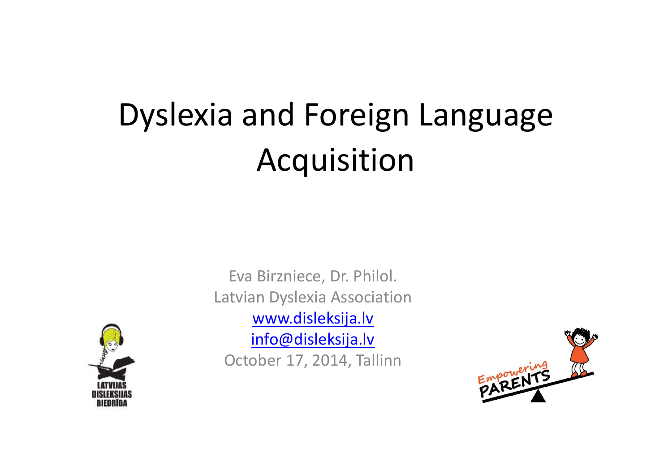# Dyslexia and Foreign Language Acquisition



Eva Birzniece, Dr. Philol.Latvian Dyslexia Associationwww.disleksija.lv info@disleksija.lvOctober 17, 2014, Tallinn

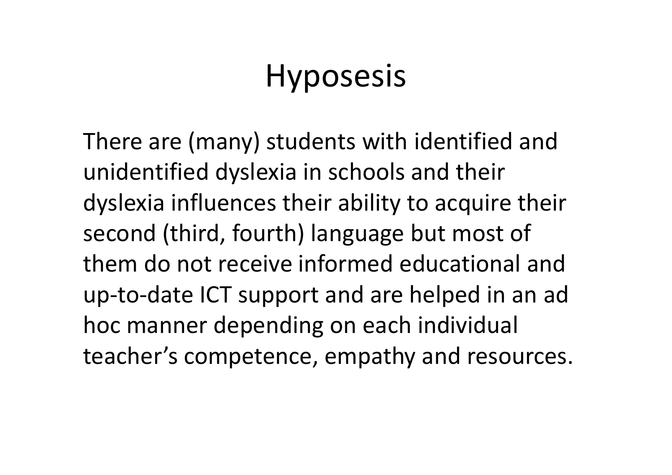## Hyposesis

There are (many) students with identified and unidentified dyslexia in schools and their dyslexia influences their ability to acquire their second (third, fourth) language but most of them do not receive informed educational and up-to-date ICT support and are helped in an ad hoc manner depending on each individual teacher's competence, empathy and resources.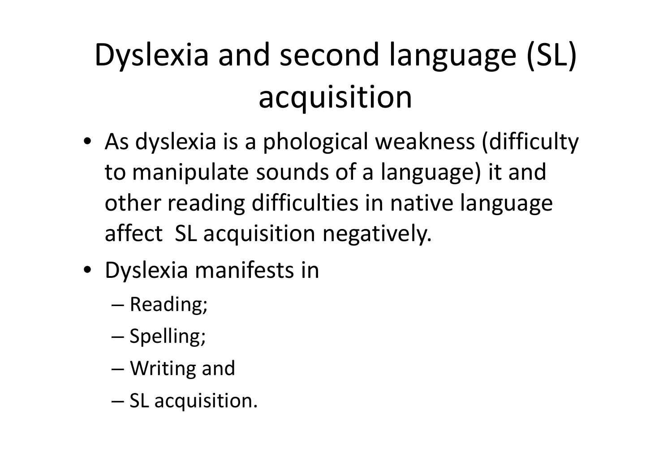# Dyslexia and second language (SL) acquisition

- As dyslexia is a phological weakness (difficulty to manipulate sounds of a language) it and other reading difficulties in native language affect SL acquisition negatively.
- Dyslexia manifests in
	- –— Reading;
	- and the state of the state — Spelling;
	- and the state of the state Writing and
	- and the state of the state  $-$  SL acquisition.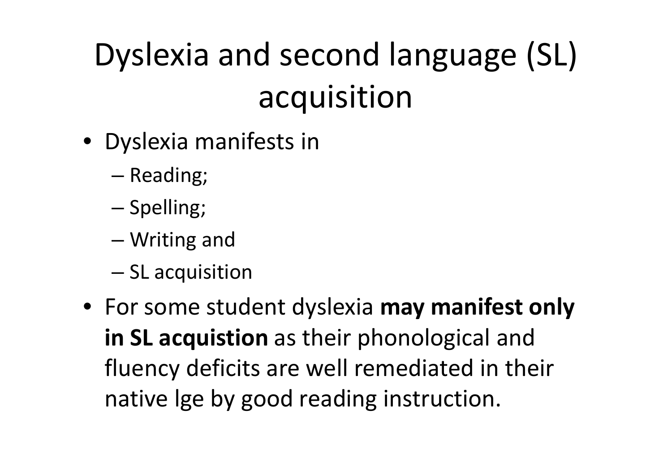# Dyslexia and second language (SL) acquisition

- Dyslexia manifests in
	- –— Reading;
	- and the state of the state — Spelling;
	- –Writing and
	- and the state of the state  $-$  SL acquisition
- For some student dyslexia **may manifest only in SL acquistion** as their phonological and fluency deficits are well remediated in their native lge by good reading instruction.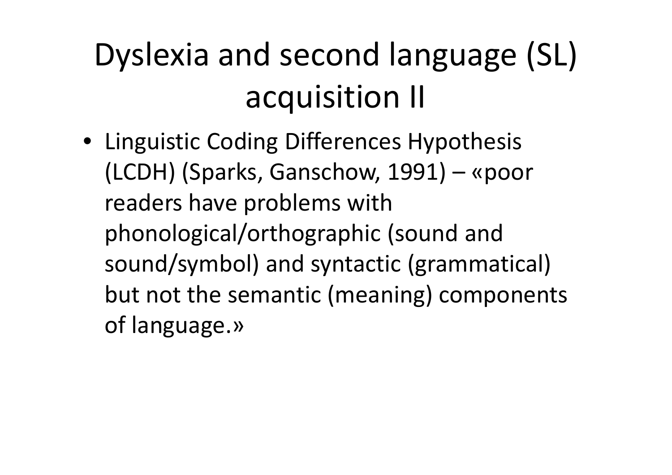## Dyslexia and second language (SL) acquisition II

• Linguistic Coding Differences Hypothesis (LCDH) (Sparks, Ganschow, 1991) – «poor readers have problems with phonological/orthographic (sound and sound/symbol) and syntactic (grammatical) but not the semantic (meaning) components of language.»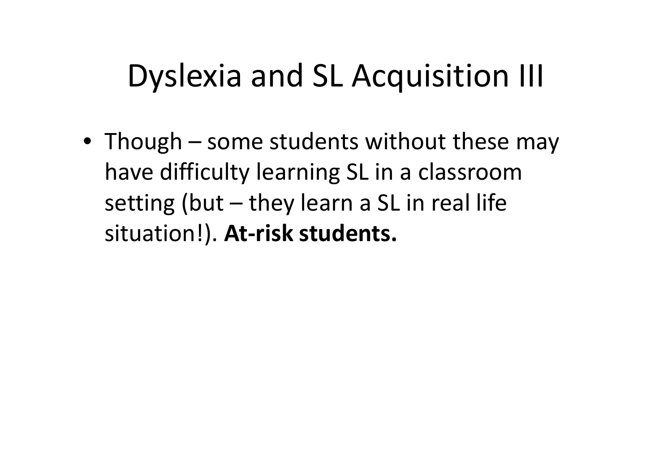#### Dyslexia and SL Acquisition III

• Though – some students without these may have difficulty learning SL in a classroom setting (but – they learn a SL in real life situation!). **At-risk students.**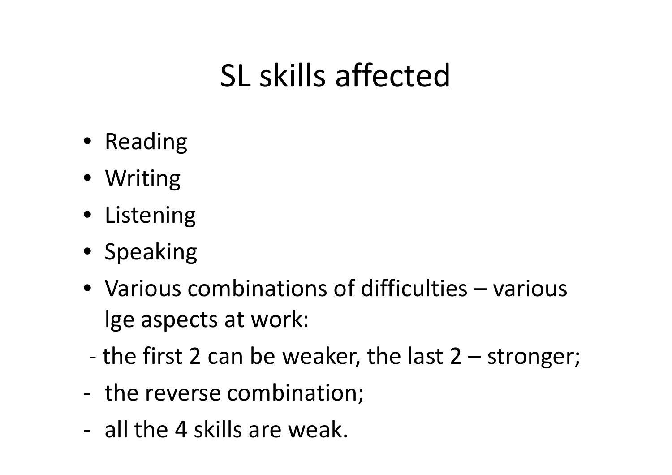### SL skills affected

- Reading
- Writing
- Listening
- Speaking
- Various combinations of difficulties various lge aspects at work:
- the first 2 can be weaker, the last 2 – stronger;
- the reverse combination;
- all the 4 skills are weak.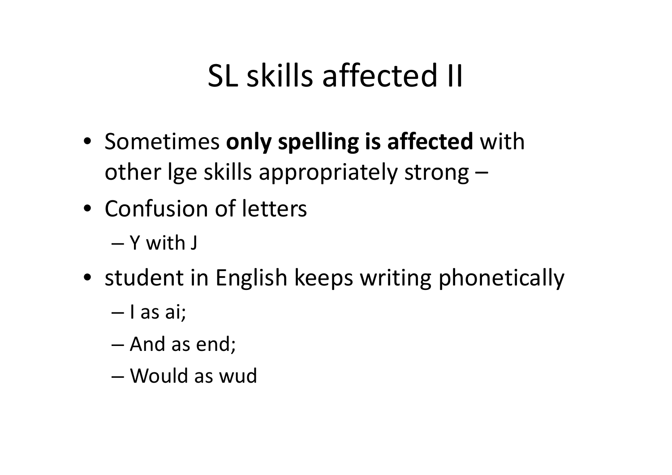### SL skills affected II

- Sometimes **only spelling is affected** with other lge skills appropriately strong –
- Confusion of letters
	- and the state of the state Y with J
- student in English keeps writing phonetically
	- and the state of the state — I as ai;
	- and the state of the state  $-$  And as end;
	- –Would as wud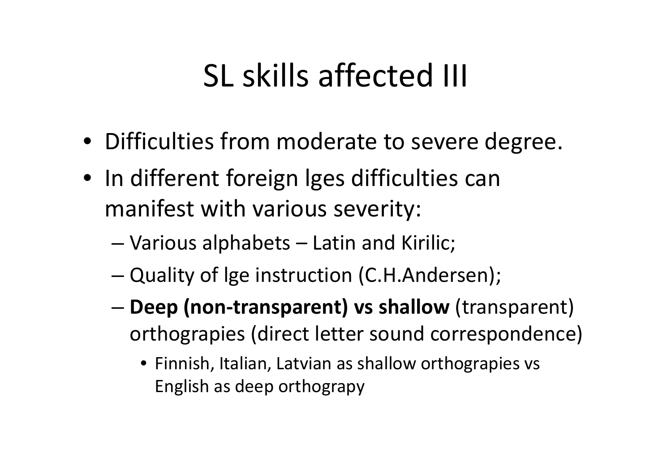### SL skills affected III

- Difficulties from moderate to severe degree.
- In different foreign lges difficulties can manifest with various severity:
	- and the state of the state Various alphabets –Latin and Kirilic;
	- –Quality of lge instruction (C.H.Andersen);
	- and the state of the state **Deep (non-transparent) vs shallow** (transparent) orthograpies (direct letter sound correspondence)
		- Finnish, Italian, Latvian as shallow orthograpies vs English as deep orthograpy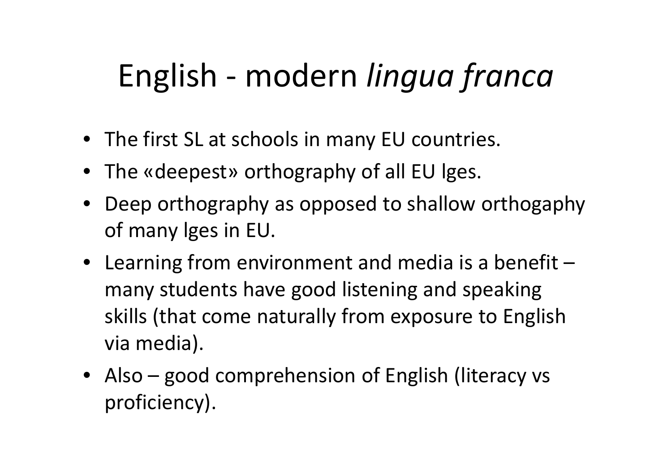### English - modern *lingua franca*

- The first SL at schools in many EU countries.
- The «deepest» orthography of all EU lges.
- Deep orthography as opposed to shallow orthogaphy of many lges in EU.
- Learning from environment and media is a benefit –many students have good listening and speaking skills (that come naturally from exposure to English via media).
- Also good comprehension of English (literacy vs proficiency).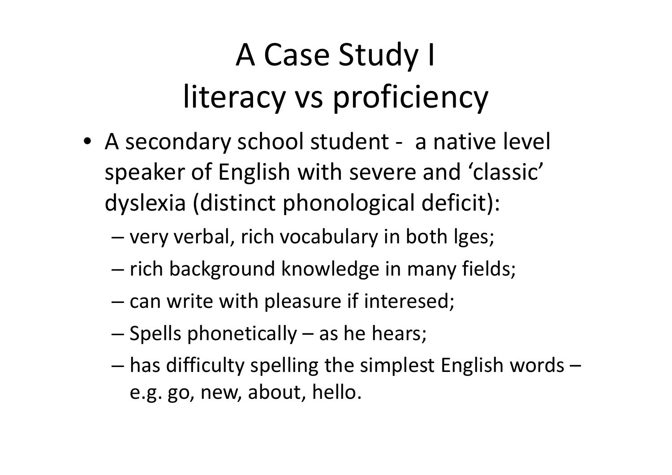## A Case Study I literacy vs proficiency

- A secondary school student a native level speaker of English with severe and 'classic' dyslexia (distinct phonological deficit):
	- –very verbal, rich vocabulary in both lges;
	- and the state of the state — rich background knowledge in many fields;
	- – $-$  can write with pleasure if interesed;
	- and the state of the state  $-$  Spells phonetically  $-$  as he hears;
	- – has difficulty spelling the simplest English words – e.g. go, new, about, hello.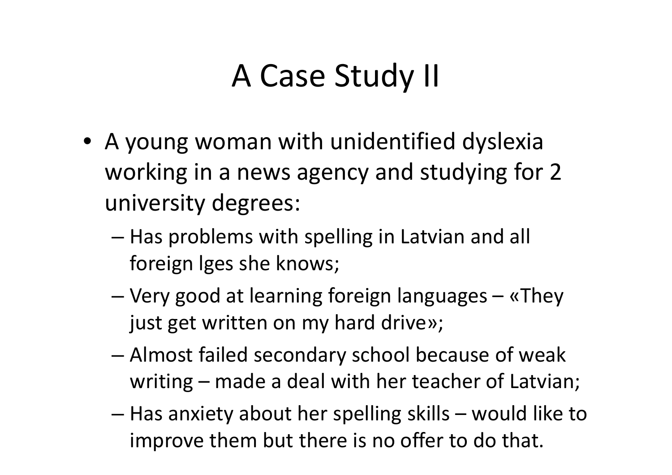### A Case Study II

- A young woman with unidentified dyslexia working in a news agency and studying for 2 university degrees:
	- –– Has problems with spelling in Latvian and all foreign lges she knows;
	- – Very good at learning foreign languages – «They just get written on my hard drive»;
	- – Almost failed secondary school because of weak writing – made a deal with her teacher of Latvian;
	- and the state of the state – Has anxiety about her spelling skills – would like to improve them but there is no offer to do that.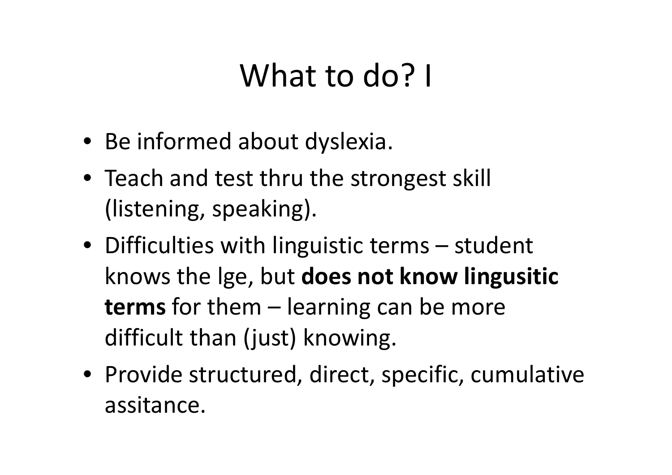### What to do? I

- Be informed about dyslexia.
- Teach and test thru the strongest skill (listening, speaking).
- Difficulties with linguistic terms student knows the lge, but **does not know lingusitic terms** for them – learning can be more difficult than (just) knowing.
- Provide structured, direct, specific, cumulative assitance.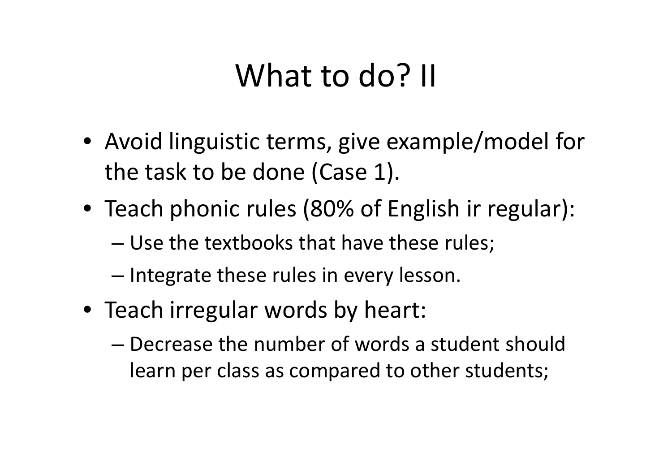#### What to do? II

- Avoid linguistic terms, give example/model for the task to be done (Case 1).
- Teach phonic rules (80% of English ir regular):
	- and the state of the state Use the textbooks that have these rules;
	- –— Integrate these rules in every lesson.
- Teach irregular words by heart:
	- and the state of the state Decrease the number of words a student should learn per class as compared to other students;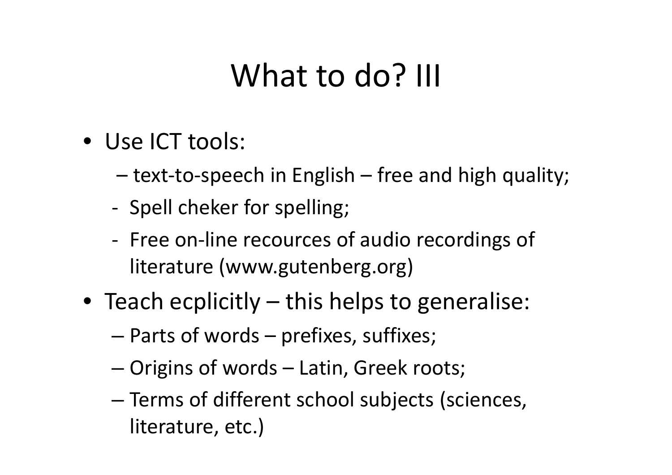### What to do? III

- Use ICT tools:
	- –text-to-speech in English – free and high quality;
	- -Spell cheker for spelling;
	- -- Free on-line recources of audio recordings of literature (www.gutenberg.org)
- Teach ecplicitly this helps to generalise:
	- –— Parts of words — prefixes, suffixes;
	- and the state of the state — Origins of words – Latin, Greek roots;
	- –— Terms of different school subjects (sciences, literature, etc.)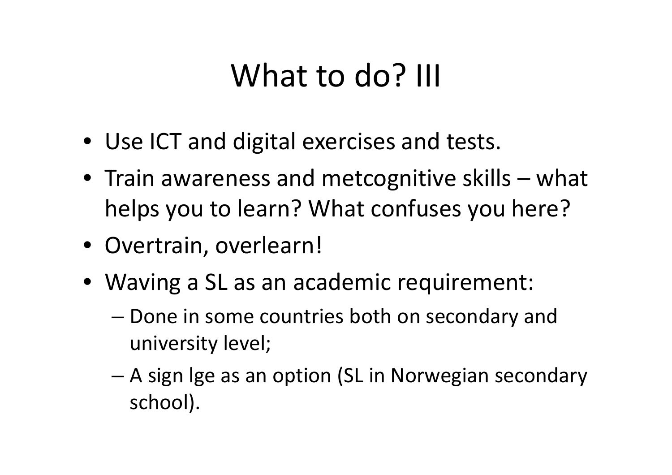### What to do? III

- Use ICT and digital exercises and tests.
- Train awareness and metcognitive skills what helps you to learn? What confuses you here?
- Overtrain, overlearn!
- Waving a SL as an academic requirement:
	- – Done in some countries both on secondary and university level;
	- and the state of the state A sign lge as an option (SL in Norwegian secondary school).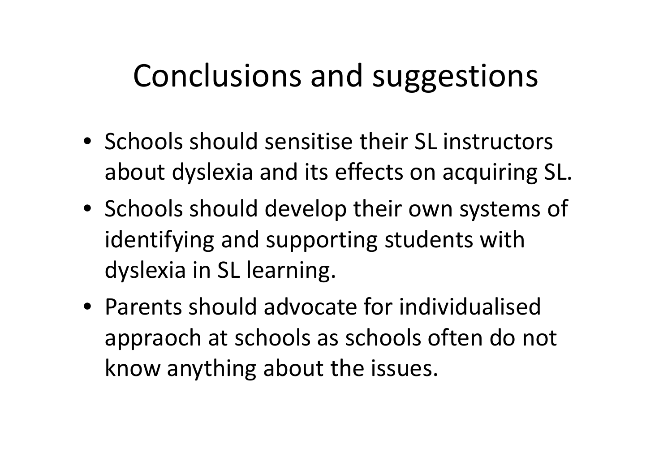#### Conclusions and suggestions

- Schools should sensitise their SL instructors about dyslexia and its effects on acquiring SL.
- Schools should develop their own systems of identifying and supporting students with dyslexia in SL learning.
- Parents should advocate for individualised appraoch at schools as schools often do not know anything about the issues.